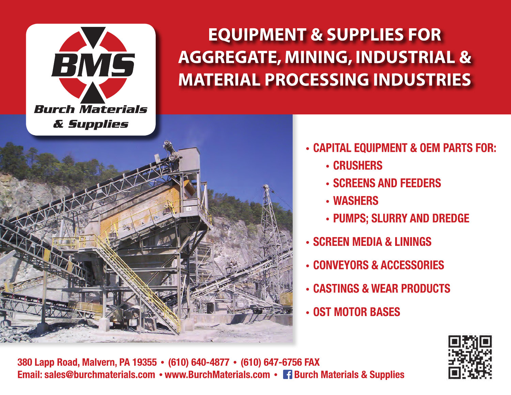

# **EQUIPMENT & SUPPLIES FOR AGGREGATE, MINING, INDUSTRIAL & MATERIAL PROCESSING INDUSTRIES**



- CAPITAL EQUIPMENT & OEM PARTS FOR:
	- **CRUSHERS**
	- **SCREENS AND FEEDERS**
	- **WASHERS**
	- · PUMPS; SLURRY AND DREDGE
- **SCREEN MEDIA & LININGS**
- **CONVEYORS & ACCESSORIES**
- **CASTINGS & WEAR PRODUCTS**
- **OST MOTOR BASES**



380 Lapp Road, Malvern, PA 19355 • (610) 640-4877 • (610) 647-6756 FAX Email: sales@burchmaterials.com • www.BurchMaterials.com • 1 Burch Materials & Supplies